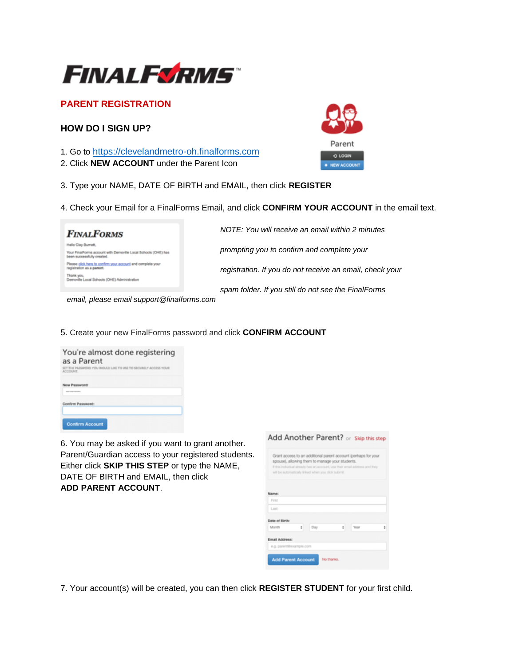

# **PARENT REGISTRATION**

## **HOW DO I SIGN UP?**

- 1. Go to https://clevelandmetro-oh.finalforms.com
- 2. Click **NEW ACCOUNT** under the Parent Icon



4. Check your Email for a FinalForms Email, and click **CONFIRM YOUR ACCOUNT** in the email text.

| <b>FINALFORMS</b>                                                                                                   | NOTE: You will receive an email within 2 minutes         |
|---------------------------------------------------------------------------------------------------------------------|----------------------------------------------------------|
| Helio Clay Burnett,<br>Your FinalForms account with Demoville Local Schools (OHE) has<br>been successfully created. | prompting you to confirm and complete your               |
| Please click here to confirm your account and complete your<br>registration as a parent.                            | registration. If you do not receive an email, check your |
| Demoville Local Schools (OHE) Administration                                                                        | spam folder. If you still do not see the FinalForms      |

 *email, please email support@finalforms.com*

5. Create your new FinalForms password and click **CONFIRM ACCOUNT** 

| You're almost done registering<br>as a Parent<br>SET THE PASSWORD YOU WOULD LIKE TO USE TO SECURELY ACCESS YOUR<br>ACCOUNT. |  |  |  |  |  |
|-----------------------------------------------------------------------------------------------------------------------------|--|--|--|--|--|
| New Password:<br><b><i><u>A R R R R R R R PORT OF THE SAME AND RESIDENTS.</u></i></b>                                       |  |  |  |  |  |
| Confirm Password:                                                                                                           |  |  |  |  |  |
| <b>Confirm Account</b>                                                                                                      |  |  |  |  |  |

6. You may be asked if you want to grant another. Parent/Guardian access to your registered students. Either click **SKIP THIS STEP** or type the NAME, DATE OF BIRTH and EMAIL, then click **ADD PARENT ACCOUNT**.

|                |                         | spouse), allowing them to manage your students.<br>will be automatically linked when you click submit. |   | Grant access to an additional parent account (perhaps for your<br>If this individual already has an account, use their email address and they |   |
|----------------|-------------------------|--------------------------------------------------------------------------------------------------------|---|-----------------------------------------------------------------------------------------------------------------------------------------------|---|
| Name:          |                         |                                                                                                        |   |                                                                                                                                               |   |
| First          |                         |                                                                                                        |   |                                                                                                                                               |   |
| Last           |                         |                                                                                                        |   |                                                                                                                                               |   |
| Date of Birth: |                         |                                                                                                        |   |                                                                                                                                               |   |
| Month          | ÷                       | Day                                                                                                    | ÷ | Year                                                                                                                                          | ٥ |
| Email Address: |                         |                                                                                                        |   |                                                                                                                                               |   |
|                | e.g. parent@example.com |                                                                                                        |   |                                                                                                                                               |   |

7. Your account(s) will be created, you can then click **REGISTER STUDENT** for your first child.